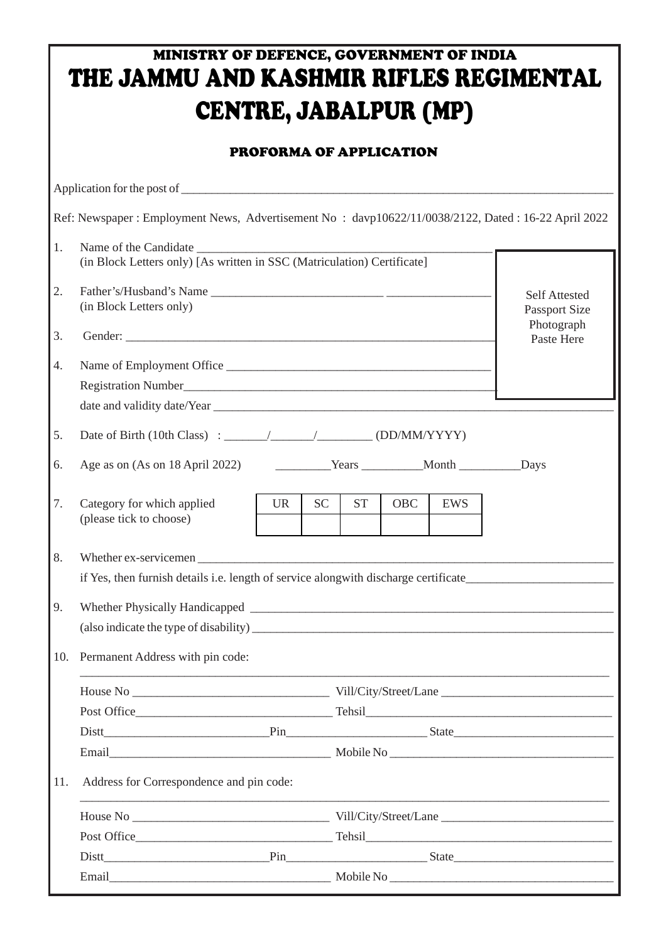## MINISTRY OF DEFENCE, GOVERNMENT OF INDIA THE JAMMU AND KASHMIR RIFLES REGIMENTAL CENTRE, JABALPUR (MP)

## PROFORMA OF APPLICATION

|     | Ref: Newspaper : Employment News, Advertisement No : davp10622/11/0038/2122, Dated : 16-22 April 2022 |                                              |    |           |            |            |  |  |  |  |  |
|-----|-------------------------------------------------------------------------------------------------------|----------------------------------------------|----|-----------|------------|------------|--|--|--|--|--|
| 1.  | (in Block Letters only) [As written in SSC (Matriculation) Certificate]                               |                                              |    |           |            |            |  |  |  |  |  |
| 2.  | Father's/Husband's Name<br>(in Block Letters only)                                                    | <b>Self Attested</b><br><b>Passport Size</b> |    |           |            |            |  |  |  |  |  |
| 3.  |                                                                                                       | Photograph<br>Paste Here                     |    |           |            |            |  |  |  |  |  |
| 4.  |                                                                                                       |                                              |    |           |            |            |  |  |  |  |  |
| 5.  |                                                                                                       |                                              |    |           |            |            |  |  |  |  |  |
| 6.  |                                                                                                       |                                              |    |           |            |            |  |  |  |  |  |
| 7.  | Category for which applied<br>(please tick to choose)                                                 | <b>UR</b>                                    | SC | <b>ST</b> | <b>OBC</b> | <b>EWS</b> |  |  |  |  |  |
| 8.  |                                                                                                       |                                              |    |           |            |            |  |  |  |  |  |
|     | if Yes, then furnish details i.e. length of service along with discharge certificate                  |                                              |    |           |            |            |  |  |  |  |  |
| 9.  |                                                                                                       |                                              |    |           |            |            |  |  |  |  |  |
| 10. | Permanent Address with pin code:                                                                      |                                              |    |           |            |            |  |  |  |  |  |
|     |                                                                                                       |                                              |    |           |            |            |  |  |  |  |  |
|     |                                                                                                       |                                              |    |           |            |            |  |  |  |  |  |
|     |                                                                                                       |                                              |    |           |            |            |  |  |  |  |  |
| 11. | Address for Correspondence and pin code:                                                              |                                              |    |           |            |            |  |  |  |  |  |
|     |                                                                                                       |                                              |    |           |            |            |  |  |  |  |  |
|     |                                                                                                       |                                              |    |           |            |            |  |  |  |  |  |
|     |                                                                                                       |                                              |    |           |            |            |  |  |  |  |  |
|     |                                                                                                       |                                              |    |           |            |            |  |  |  |  |  |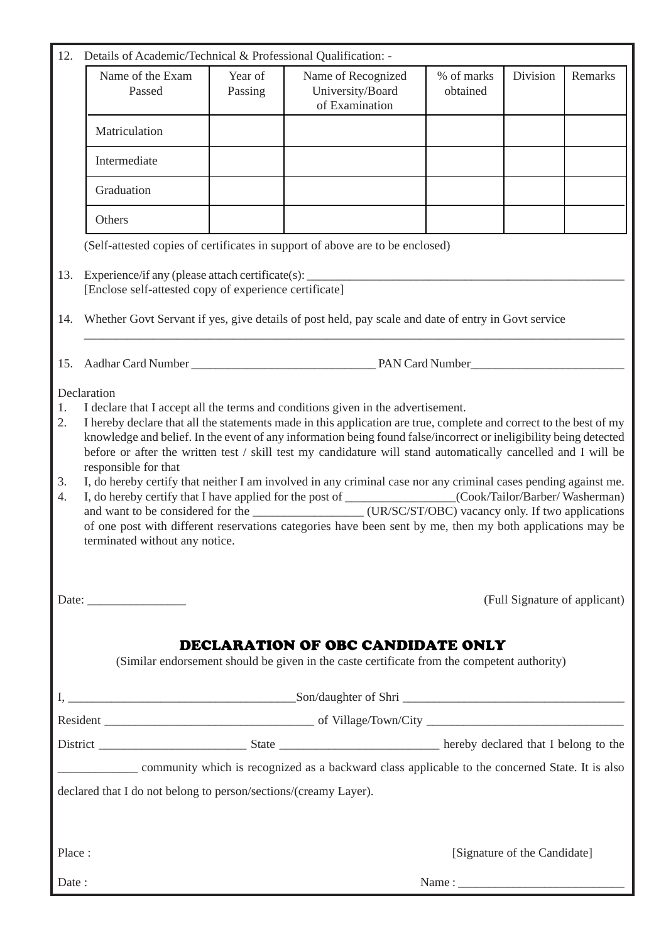| 12.                                                                                                                                                                 | Details of Academic/Technical & Professional Qualification: -                                                                                                                                                                                                                                                                                                                                                                                                                                                                                                                                                                                                                                                                                                                                                                                          |                    |                                                          |                        |          |         |  |  |  |  |  |  |
|---------------------------------------------------------------------------------------------------------------------------------------------------------------------|--------------------------------------------------------------------------------------------------------------------------------------------------------------------------------------------------------------------------------------------------------------------------------------------------------------------------------------------------------------------------------------------------------------------------------------------------------------------------------------------------------------------------------------------------------------------------------------------------------------------------------------------------------------------------------------------------------------------------------------------------------------------------------------------------------------------------------------------------------|--------------------|----------------------------------------------------------|------------------------|----------|---------|--|--|--|--|--|--|
|                                                                                                                                                                     | Name of the Exam<br>Passed                                                                                                                                                                                                                                                                                                                                                                                                                                                                                                                                                                                                                                                                                                                                                                                                                             | Year of<br>Passing | Name of Recognized<br>University/Board<br>of Examination | % of marks<br>obtained | Division | Remarks |  |  |  |  |  |  |
|                                                                                                                                                                     | Matriculation                                                                                                                                                                                                                                                                                                                                                                                                                                                                                                                                                                                                                                                                                                                                                                                                                                          |                    |                                                          |                        |          |         |  |  |  |  |  |  |
|                                                                                                                                                                     | Intermediate                                                                                                                                                                                                                                                                                                                                                                                                                                                                                                                                                                                                                                                                                                                                                                                                                                           |                    |                                                          |                        |          |         |  |  |  |  |  |  |
|                                                                                                                                                                     | Graduation                                                                                                                                                                                                                                                                                                                                                                                                                                                                                                                                                                                                                                                                                                                                                                                                                                             |                    |                                                          |                        |          |         |  |  |  |  |  |  |
|                                                                                                                                                                     | Others                                                                                                                                                                                                                                                                                                                                                                                                                                                                                                                                                                                                                                                                                                                                                                                                                                                 |                    |                                                          |                        |          |         |  |  |  |  |  |  |
|                                                                                                                                                                     | (Self-attested copies of certificates in support of above are to be enclosed)                                                                                                                                                                                                                                                                                                                                                                                                                                                                                                                                                                                                                                                                                                                                                                          |                    |                                                          |                        |          |         |  |  |  |  |  |  |
| 13.                                                                                                                                                                 | Experience/if any (please attach certificate(s): ________________________________<br>[Enclose self-attested copy of experience certificate]                                                                                                                                                                                                                                                                                                                                                                                                                                                                                                                                                                                                                                                                                                            |                    |                                                          |                        |          |         |  |  |  |  |  |  |
| 14.                                                                                                                                                                 | Whether Govt Servant if yes, give details of post held, pay scale and date of entry in Govt service                                                                                                                                                                                                                                                                                                                                                                                                                                                                                                                                                                                                                                                                                                                                                    |                    |                                                          |                        |          |         |  |  |  |  |  |  |
|                                                                                                                                                                     |                                                                                                                                                                                                                                                                                                                                                                                                                                                                                                                                                                                                                                                                                                                                                                                                                                                        |                    |                                                          |                        |          |         |  |  |  |  |  |  |
| 2.<br>3.<br>4.                                                                                                                                                      | I declare that I accept all the terms and conditions given in the advertisement.<br>1.<br>I hereby declare that all the statements made in this application are true, complete and correct to the best of my<br>knowledge and belief. In the event of any information being found false/incorrect or ineligibility being detected<br>before or after the written test / skill test my candidature will stand automatically cancelled and I will be<br>responsible for that<br>I, do hereby certify that neither I am involved in any criminal case nor any criminal cases pending against me.<br>I, do hereby certify that I have applied for the post of _______________(Cook/Tailor/Barber/Washerman)<br>of one post with different reservations categories have been sent by me, then my both applications may be<br>terminated without any notice. |                    |                                                          |                        |          |         |  |  |  |  |  |  |
|                                                                                                                                                                     |                                                                                                                                                                                                                                                                                                                                                                                                                                                                                                                                                                                                                                                                                                                                                                                                                                                        |                    | (Full Signature of applicant)                            |                        |          |         |  |  |  |  |  |  |
| DECLARATION OF OBC CANDIDATE ONLY<br>(Similar endorsement should be given in the caste certificate from the competent authority)                                    |                                                                                                                                                                                                                                                                                                                                                                                                                                                                                                                                                                                                                                                                                                                                                                                                                                                        |                    |                                                          |                        |          |         |  |  |  |  |  |  |
|                                                                                                                                                                     |                                                                                                                                                                                                                                                                                                                                                                                                                                                                                                                                                                                                                                                                                                                                                                                                                                                        |                    |                                                          |                        |          |         |  |  |  |  |  |  |
|                                                                                                                                                                     |                                                                                                                                                                                                                                                                                                                                                                                                                                                                                                                                                                                                                                                                                                                                                                                                                                                        |                    |                                                          |                        |          |         |  |  |  |  |  |  |
| community which is recognized as a backward class applicable to the concerned State. It is also<br>declared that I do not belong to person/sections/(creamy Layer). |                                                                                                                                                                                                                                                                                                                                                                                                                                                                                                                                                                                                                                                                                                                                                                                                                                                        |                    |                                                          |                        |          |         |  |  |  |  |  |  |
| Place:                                                                                                                                                              |                                                                                                                                                                                                                                                                                                                                                                                                                                                                                                                                                                                                                                                                                                                                                                                                                                                        |                    | [Signature of the Candidate]                             |                        |          |         |  |  |  |  |  |  |
| Date:                                                                                                                                                               |                                                                                                                                                                                                                                                                                                                                                                                                                                                                                                                                                                                                                                                                                                                                                                                                                                                        |                    |                                                          |                        |          |         |  |  |  |  |  |  |